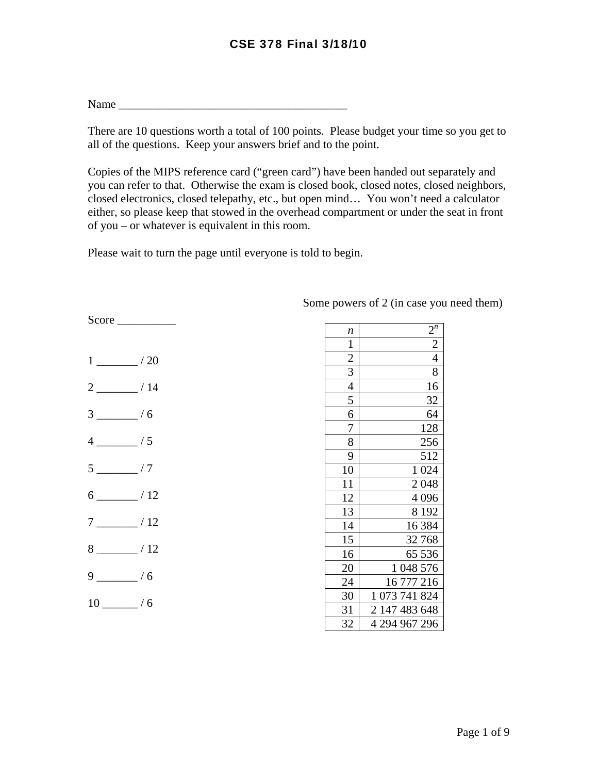## CSE 378 Final 3/18/10

 $Name$ 

There are 10 questions worth a total of 100 points. Please budget your time so you get to all of the questions. Keep your answers brief and to the point.

Copies of the MIPS reference card ("green card") have been handed out separately and you can refer to that. Otherwise the exam is closed book, closed notes, closed neighbors, closed electronics, closed telepathy, etc., but open mind… You won't need a calculator either, so please keep that stowed in the overhead compartment or under the seat in front of you – or whatever is equivalent in this room.

Please wait to turn the page until everyone is told to begin.

| $1 \underline{\hspace{1cm}}$ / 20 |
|-----------------------------------|
| $2 \frac{\ }{2}$ / 14             |
| $3 \frac{ }{ }$ / 6               |
| $4 \sim 15$                       |
| $5 \sim 7$                        |
| $6 \_ 12$                         |
| $7 \underline{\hspace{1cm}}$ / 12 |
| $8 \ \ 12$                        |
| $9 \_ / 6$                        |
| $10 \_ / 6$                       |

Score \_\_\_\_\_\_\_\_\_\_

| n              | $2^n$                         |
|----------------|-------------------------------|
| $\overline{1}$ | $\overline{2}$                |
|                | $\overline{4}$                |
| $\frac{2}{3}$  | 8                             |
| $\frac{1}{4}$  | 16                            |
| 5              | 32                            |
| $\overline{6}$ | 64                            |
| 7              | 128                           |
| $\overline{8}$ | 256                           |
| 9              | 512                           |
| 10             | $\mathbf{1}$<br>024           |
| 11             | 2048                          |
| 12             | 4 0 9 6                       |
| 13             | 8 1 9 2                       |
| 14             | 16 3 84                       |
| 15             | 32768                         |
| 16             | 65 536                        |
| 20             | $\mathbf{1}$<br>048 576       |
| 24             | 16 777 216                    |
| 30             | $\mathbf{1}$<br>073 741 824   |
| 31             | $\overline{2}$<br>147 483 648 |
| 32             | 4 294 967 296                 |

Some powers of 2 (in case you need them)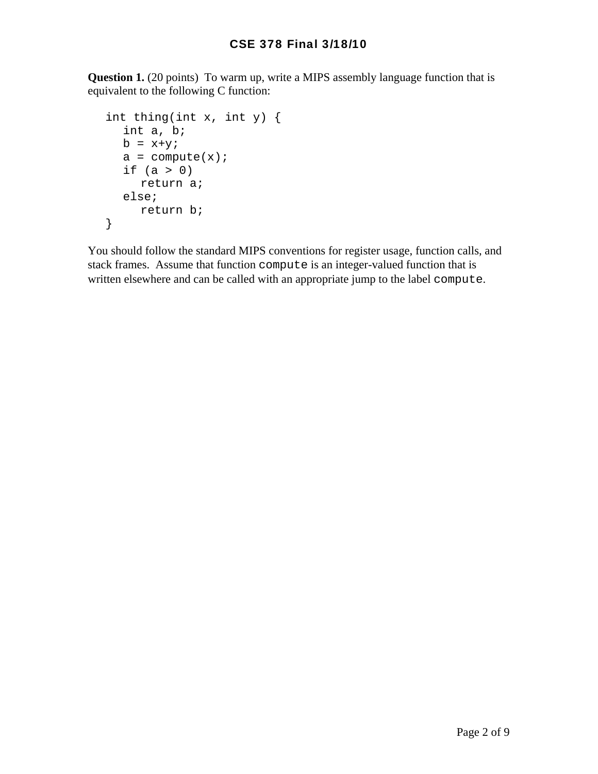**Question 1.** (20 points) To warm up, write a MIPS assembly language function that is equivalent to the following C function:

```
 int thing(int x, int y) { 
  int a, b; 
 b = x+ya = compute(x);
 if (a > 0) return a; 
  else; 
     return b; 
}
```
You should follow the standard MIPS conventions for register usage, function calls, and stack frames. Assume that function compute is an integer-valued function that is written elsewhere and can be called with an appropriate jump to the label compute.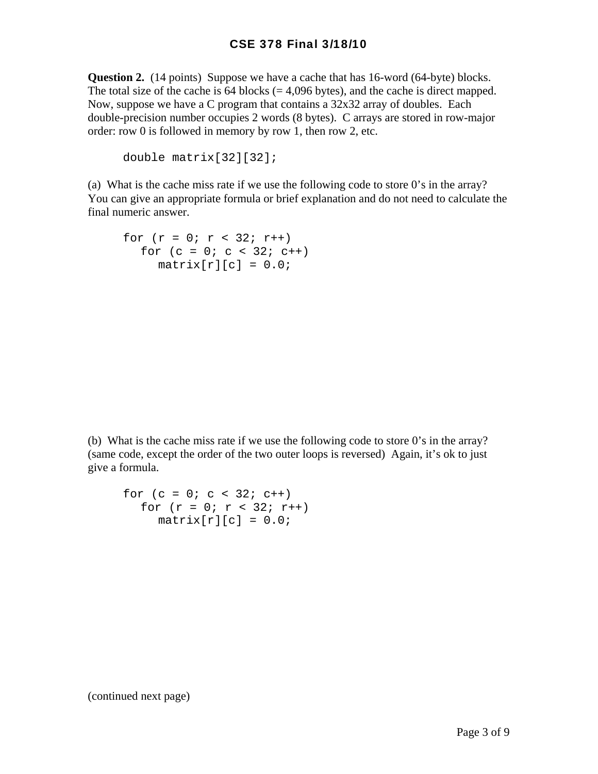**Question 2.** (14 points) Suppose we have a cache that has 16-word (64-byte) blocks. The total size of the cache is  $64$  blocks (= 4,096 bytes), and the cache is direct mapped. Now, suppose we have a C program that contains a 32x32 array of doubles. Each double-precision number occupies 2 words (8 bytes). C arrays are stored in row-major order: row 0 is followed in memory by row 1, then row 2, etc.

```
double matrix[32][32];
```
(a) What is the cache miss rate if we use the following code to store 0's in the array? You can give an appropriate formula or brief explanation and do not need to calculate the final numeric answer.

```
for (r = 0; r < 32; r++)for (c = 0; c < 32; c++)matrix[r][c] = 0.0;
```
(b) What is the cache miss rate if we use the following code to store 0's in the array? (same code, except the order of the two outer loops is reversed) Again, it's ok to just give a formula.

```
for (c = 0; c < 32; c++)for (r = 0; r < 32; r++)matrix[r][c] = 0.0;
```
(continued next page)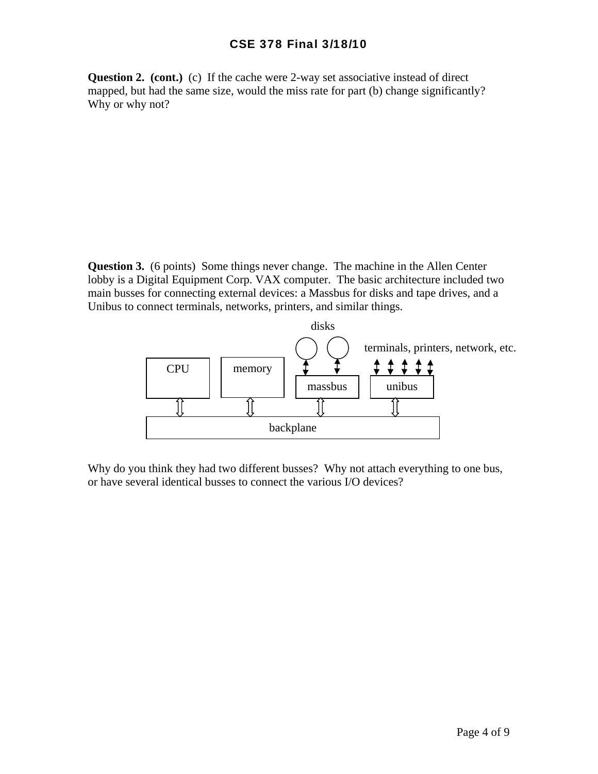**Question 2. (cont.)** (c) If the cache were 2-way set associative instead of direct mapped, but had the same size, would the miss rate for part (b) change significantly? Why or why not?

**Question 3.** (6 points) Some things never change. The machine in the Allen Center lobby is a Digital Equipment Corp. VAX computer. The basic architecture included two main busses for connecting external devices: a Massbus for disks and tape drives, and a Unibus to connect terminals, networks, printers, and similar things.



Why do you think they had two different busses? Why not attach everything to one bus, or have several identical busses to connect the various I/O devices?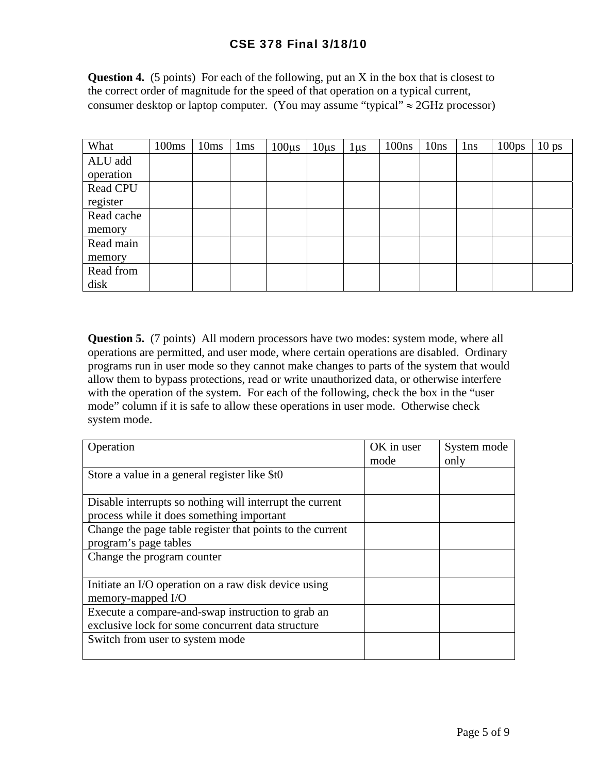## CSE 378 Final 3/18/10

**Question 4.** (5 points) For each of the following, put an X in the box that is closest to the correct order of magnitude for the speed of that operation on a typical current, consumer desktop or laptop computer. (You may assume "typical"  $\approx$  2GHz processor)

| What       | 100ms | 10ms | 1 <sub>ms</sub> | $100\mu s$ | $10\mu s$ | $1 \mu s$ | 100ns | 10ns | 1 <sub>ns</sub> | 100 <sub>ps</sub> | 10 <sub>ps</sub> |
|------------|-------|------|-----------------|------------|-----------|-----------|-------|------|-----------------|-------------------|------------------|
| ALU add    |       |      |                 |            |           |           |       |      |                 |                   |                  |
| operation  |       |      |                 |            |           |           |       |      |                 |                   |                  |
| Read CPU   |       |      |                 |            |           |           |       |      |                 |                   |                  |
| register   |       |      |                 |            |           |           |       |      |                 |                   |                  |
| Read cache |       |      |                 |            |           |           |       |      |                 |                   |                  |
| memory     |       |      |                 |            |           |           |       |      |                 |                   |                  |
| Read main  |       |      |                 |            |           |           |       |      |                 |                   |                  |
| memory     |       |      |                 |            |           |           |       |      |                 |                   |                  |
| Read from  |       |      |                 |            |           |           |       |      |                 |                   |                  |
| disk       |       |      |                 |            |           |           |       |      |                 |                   |                  |

**Question 5.** (7 points) All modern processors have two modes: system mode, where all operations are permitted, and user mode, where certain operations are disabled. Ordinary programs run in user mode so they cannot make changes to parts of the system that would allow them to bypass protections, read or write unauthorized data, or otherwise interfere with the operation of the system. For each of the following, check the box in the "user" mode" column if it is safe to allow these operations in user mode. Otherwise check system mode.

| Operation                                                 | OK in user | System mode |
|-----------------------------------------------------------|------------|-------------|
|                                                           | mode       | only        |
| Store a value in a general register like \$t0             |            |             |
|                                                           |            |             |
| Disable interrupts so nothing will interrupt the current  |            |             |
| process while it does something important                 |            |             |
| Change the page table register that points to the current |            |             |
| program's page tables                                     |            |             |
| Change the program counter                                |            |             |
|                                                           |            |             |
| Initiate an I/O operation on a raw disk device using      |            |             |
| memory-mapped I/O                                         |            |             |
| Execute a compare-and-swap instruction to grab an         |            |             |
| exclusive lock for some concurrent data structure         |            |             |
| Switch from user to system mode                           |            |             |
|                                                           |            |             |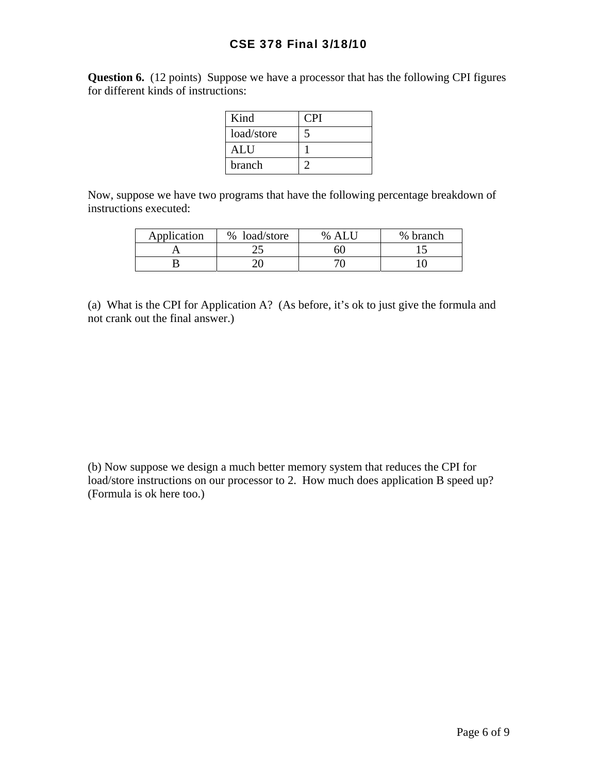## CSE 378 Final 3/18/10

**Question 6.** (12 points) Suppose we have a processor that has the following CPI figures for different kinds of instructions:

| Kind       | CPI |
|------------|-----|
| load/store |     |
| <b>ALU</b> |     |
| branch     |     |

Now, suppose we have two programs that have the following percentage breakdown of instructions executed:

| Application | % load/store | % ALU | % branch |
|-------------|--------------|-------|----------|
|             | رے           | 60    |          |
|             |              |       |          |

(a) What is the CPI for Application A? (As before, it's ok to just give the formula and not crank out the final answer.)

(b) Now suppose we design a much better memory system that reduces the CPI for load/store instructions on our processor to 2. How much does application B speed up? (Formula is ok here too.)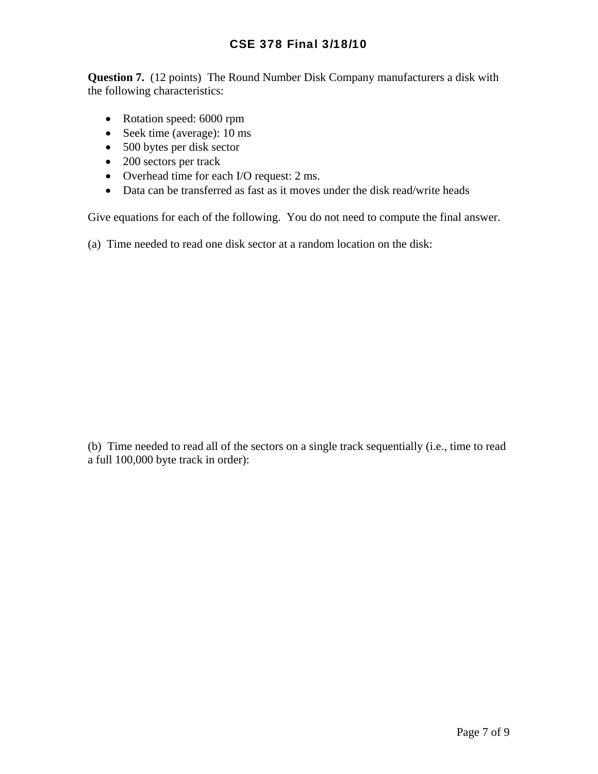**Question 7.** (12 points) The Round Number Disk Company manufacturers a disk with the following characteristics:

- Rotation speed: 6000 rpm
- Seek time (average): 10 ms
- 500 bytes per disk sector
- 200 sectors per track
- Overhead time for each I/O request: 2 ms.
- Data can be transferred as fast as it moves under the disk read/write heads

Give equations for each of the following. You do not need to compute the final answer.

(a) Time needed to read one disk sector at a random location on the disk:

(b) Time needed to read all of the sectors on a single track sequentially (i.e., time to read a full 100,000 byte track in order):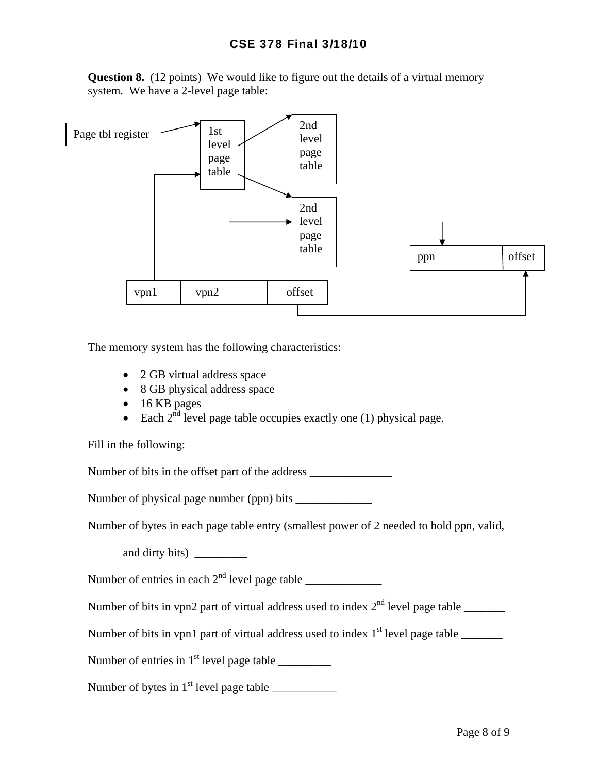**Question 8.** (12 points) We would like to figure out the details of a virtual memory system. We have a 2-level page table:



The memory system has the following characteristics:

- 2 GB virtual address space
- 8 GB physical address space
- 16 KB pages
- Each  $2^{nd}$  level page table occupies exactly one (1) physical page.

Fill in the following:

Number of bits in the offset part of the address \_\_\_\_\_\_\_\_\_\_\_\_\_\_\_\_\_\_\_\_\_\_\_\_\_\_\_\_\_\_\_\_

Number of physical page number (ppn) bits \_\_\_\_\_\_\_\_\_\_\_\_\_

Number of bytes in each page table entry (smallest power of 2 needed to hold ppn, valid,

and dirty bits)

Number of entries in each  $2<sup>nd</sup>$  level page table  $\frac{1}{2}$ 

Number of bits in vpn2 part of virtual address used to index  $2<sup>nd</sup>$  level page table \_\_\_\_\_\_\_

Number of bits in vpn1 part of virtual address used to index  $1<sup>st</sup>$  level page table  $\_\_$ 

Number of entries in  $1<sup>st</sup>$  level page table  $\qquad \qquad$ 

Number of bytes in  $1<sup>st</sup>$  level page table  $\qquad \qquad$